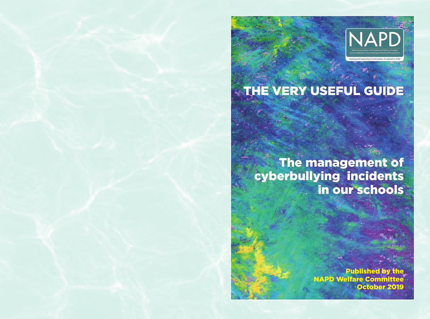

# THE VERY USEFUL GUIDE

The management of cyberbullying incidents in our schools

> **Published by NAPD Welfare Commit** October 2019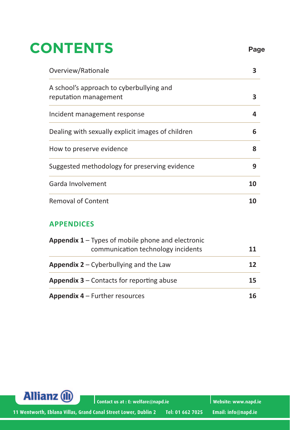## **CONTENTS Page**

| Overview/Rationale                                                                             | 3  |
|------------------------------------------------------------------------------------------------|----|
| A school's approach to cyberbullying and<br>reputation management                              | 3  |
| Incident management response                                                                   | 4  |
| Dealing with sexually explicit images of children                                              | 6  |
| How to preserve evidence                                                                       | 8  |
| Suggested methodology for preserving evidence                                                  | 9  |
| Garda Involvement                                                                              | 10 |
| <b>Removal of Content</b>                                                                      | 10 |
| <b>APPENDICES</b>                                                                              |    |
| <b>Appendix 1</b> – Types of mobile phone and electronic<br>communication technology incidents | 11 |

| $\frac{1}{2}$ appendix $\frac{1}{2}$ is types of informed prioric and electronic<br>communication technology incidents | 11 |
|------------------------------------------------------------------------------------------------------------------------|----|
| <b>Appendix 2</b> – Cyberbullying and the Law                                                                          | 12 |
| <b>Appendix 3 – Contacts for reporting abuse</b>                                                                       | 15 |
| <b>Appendix 4 – Further resources</b>                                                                                  | 16 |



**Contact us at : E: welfare@napd.ie Website: www.napd.ie**

**11 Wentworth, Eblana Villas, Grand Canal Street Lower, Dublin 2 Tel: 01 662 7025 Email: info@napd.ie**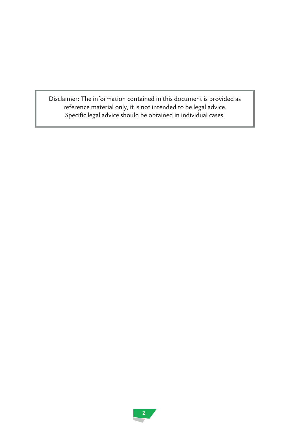Disclaimer: The information contained in this document is provided as reference material only, it is not intended to be legal advice. Specific legal advice should be obtained in individual cases.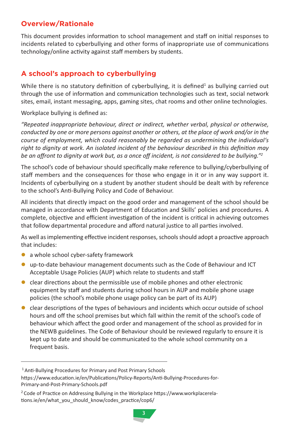#### **Overview/Rationale**

This document provides information to school management and staff on initial responses to incidents related to cyberbullying and other forms of inappropriate use of communications technology/online activity against staff members by students.

#### **A school's approach to cyberbullying**

While there is no statutory definition of cyberbullying, it is defined<sup>1</sup> as bullying carried out through the use of information and communication technologies such as text, social network sites, email, instant messaging, apps, gaming sites, chat rooms and other online technologies.

Workplace bullying is defined as:

*"Repeated inappropriate behaviour, direct or indirect, whether verbal, physical or otherwise, conducted by one or more persons against another or others, at the place of work and/or in the course of employment, which could reasonably be regarded as undermining the individual's right to dignity at work. An isolated incident of the behaviour described in this definition may be an affront to dignity at work but, as a once off incident, is not considered to be bullying."2*

The school's code of behaviour should specifically make reference to bullying/cyberbullying of staff members and the consequences for those who engage in it or in any way support it. Incidents of cyberbullying on a student by another student should be dealt with by reference to the school's Anti-Bullying Policy and Code of Behaviour.

All incidents that directly impact on the good order and management of the school should be managed in accordance with Department of Education and Skills' policies and procedures. A complete, objective and efficient investigation of the incident is critical in achieving outcomes that follow departmental procedure and afford natural justice to all parties involved.

As well as implementing effective incident responses, schools should adopt a proactive approach that includes:

- a whole school cyber-safety framework
- **.** up-to-date behaviour management documents such as the Code of Behaviour and ICT Acceptable Usage Policies (AUP) which relate to students and staff
- $\bullet$  clear directions about the permissible use of mobile phones and other electronic equipment by staff and students during school hours in AUP and mobile phone usage policies (the school's mobile phone usage policy can be part of its AUP)
- $\bullet$  clear descriptions of the types of behaviours and incidents which occur outside of school hours and off the school premises but which fall within the remit of the school's code of behaviour which affect the good order and management of the school as provided for in the NEWB guidelines. The Code of Behaviour should be reviewed regularly to ensure it is kept up to date and should be communicated to the whole school community on a frequent basis.

<sup>&</sup>lt;sup>1</sup> Anti-Bullying Procedures for Primary and Post Primary Schools

https://www.education.ie/en/Publications/Policy-Reports/Anti-Bullying-Procedures-for-Primary-and-Post-Primary-Schools.pdf

<sup>&</sup>lt;sup>2</sup> Code of Practice on Addressing Bullying in the Workplace https://www.workplacerelations.ie/en/what\_you\_should\_know/codes\_practice/cop6/

<sup>3</sup>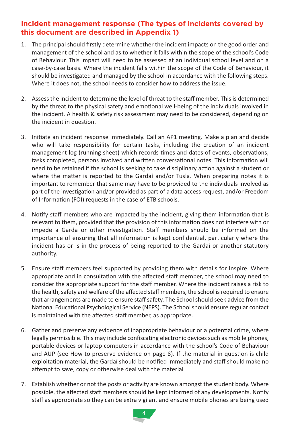#### **Incident management response (The types of incidents covered by this document are described in Appendix 1)**

- 1. The principal should firstly determine whether the incident impacts on the good order and management of the school and as to whether it falls within the scope of the school's Code of Behaviour. This impact will need to be assessed at an individual school level and on a case-by-case basis. Where the incident falls within the scope of the Code of Behaviour, it should be investigated and managed by the school in accordance with the following steps. Where it does not, the school needs to consider how to address the issue.
- 2. Assess the incident to determine the level of threat to the staff member. This is determined by the threat to the physical safety and emotional well-being of the individuals involved in the incident. A health & safety risk assessment may need to be considered, depending on the incident in question.
- 3. Initiate an incident response immediately. Call an AP1 meeting. Make a plan and decide who will take responsibility for certain tasks, including the creation of an incident management log (running sheet) which records times and dates of events, observations, tasks completed, persons involved and written conversational notes. This information will need to be retained if the school is seeking to take disciplinary action against a student or where the matter is reported to the Gardaí and/or Tusla. When preparing notes it is important to remember that same may have to be provided to the individuals involved as part of the investigation and/or provided as part of a data access request, and/or Freedom of Information (FOI) requests in the case of ETB schools.
- 4. Notify staff members who are impacted by the incident, giving them information that is relevant to them, provided that the provision of this information does not interfere with or impede a Garda or other investigation. Staff members should be informed on the importance of ensuring that all information is kept confidential, particularly where the incident has or is in the process of being reported to the Gardaí or another statutory authority.
- 5. Ensure staff members feel supported by providing them with details for Inspire. Where appropriate and in consultation with the affected staff member, the school may need to consider the appropriate support for the staff member. Where the incident raises a risk to the health, safety and welfare of the affected staff members, the school is required to ensure that arrangements are made to ensure staff safety. The School should seek advice from the National Educational Psychological Service (NEPS). The School should ensure regular contact is maintained with the affected staff member, as appropriate.
- 6. Gather and preserve any evidence of inappropriate behaviour or a potential crime, where legally permissible. This may include confiscating electronic devices such as mobile phones, portable devices or laptop computers in accordance with the school's Code of Behaviour and AUP (see How to preserve evidence on page 8). If the material in question is child exploitation material, the Gardaí should be notified immediately and staff should make no attempt to save, copy or otherwise deal with the material
- 7. Establish whether or not the posts or activity are known amongst the student body. Where possible, the affected staff members should be kept informed of any developments. Notify staff as appropriate so they can be extra vigilant and ensure mobile phones are being used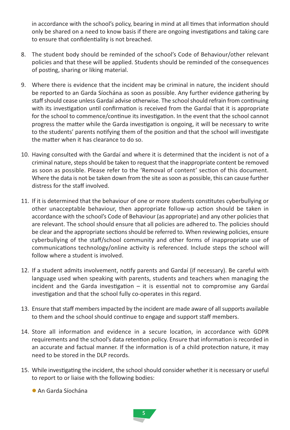in accordance with the school's policy, bearing in mind at all times that information should only be shared on a need to know basis if there are ongoing investigations and taking care to ensure that confidentiality is not breached.

- 8. The student body should be reminded of the school's Code of Behaviour/other relevant policies and that these will be applied. Students should be reminded of the consequences of posting, sharing or liking material.
- 9. Where there is evidence that the incident may be criminal in nature, the incident should be reported to an Garda Síochána as soon as possible. Any further evidence gathering by staff should cease unless Gardaí advise otherwise. The school should refrain from continuing with its investigation until confirmation is received from the Gardaí that it is appropriate for the school to commence/continue its investigation. In the event that the school cannot progress the matter while the Garda investigation is ongoing, it will be necessary to write to the students' parents notifying them of the position and that the school will investigate the matter when it has clearance to do so.
- 10. Having consulted with the Gardaí and where it is determined that the incident is not of a criminal nature, steps should be taken to request that the inappropriate content be removed as soon as possible. Please refer to the 'Removal of content' section of this document. Where the data is not be taken down from the site as soon as possible, this can cause further distress for the staff involved.
- 11. If it is determined that the behaviour of one or more students constitutes cyberbullying or other unacceptable behaviour, then appropriate follow-up action should be taken in accordance with the school's Code of Behaviour (as appropriate) and any other policies that are relevant. The school should ensure that all policies are adhered to. The policies should be clear and the appropriate sections should be referred to. When reviewing policies, ensure cyberbullying of the staff/school community and other forms of inappropriate use of communications technology/online activity is referenced. Include steps the school will follow where a student is involved.
- 12. If a student admits involvement, notify parents and Gardaí (if necessary). Be careful with language used when speaking with parents, students and teachers when managing the incident and the Garda investigation – it is essential not to compromise any Gardaí investigation and that the school fully co-operates in this regard.
- 13. Ensure that staff members impacted by the incident are made aware of all supports available to them and the school should continue to engage and support staff members.
- 14. Store all information and evidence in a secure location, in accordance with GDPR requirements and the school's data retention policy. Ensure that information is recorded in an accurate and factual manner. If the information is of a child protection nature, it may need to be stored in the DLP records.
- 15. While investigating the incident, the school should consider whether it is necessary or useful to report to or liaise with the following bodies:
	- l An Garda Síochána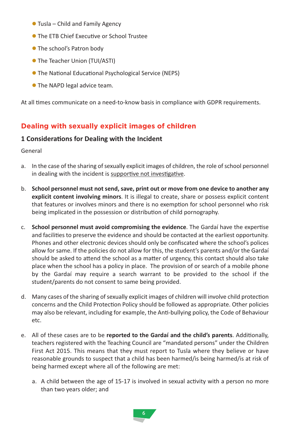- $\bullet$  Tusla Child and Family Agency
- **The FTB Chief Executive or School Trustee**
- **The school's Patron body**
- **The Teacher Union (TUI/ASTI)**
- The National Educational Psychological Service (NEPS)
- **The NAPD legal advice team.**

At all times communicate on a need-to-know basis in compliance with GDPR requirements.

#### **Dealing with sexually explicit images of children**

#### **1 Considerations for Dealing with the Incident**

General

- a. In the case of the sharing of sexually explicit images of children, the role of school personnel in dealing with the incident is supportive not investigative.
- b. **School personnel must not send, save, print out or move from one device to another any explicit content involving minors**. It is illegal to create, share or possess explicit content that features or involves minors and there is no exemption for school personnel who risk being implicated in the possession or distribution of child pornography.
- c. **School personnel must avoid compromising the evidence**. The Gardaí have the expertise and facilities to preserve the evidence and should be contacted at the earliest opportunity. Phones and other electronic devices should only be confiscated where the school's polices allow for same. If the policies do not allow for this, the student's parents and/or the Gardaí should be asked to attend the school as a matter of urgency, this contact should also take place when the school has a policy in place. The provision of or search of a mobile phone by the Gardaí may require a search warrant to be provided to the school if the student/parents do not consent to same being provided.
- d. Many cases of the sharing of sexually explicit images of children will involve child protection concerns and the Child Protection Policy should be followed as appropriate. Other policies may also be relevant, including for example, the Anti-bullying policy, the Code of Behaviour etc.
- e. All of these cases are to be **reported to the Gardaí and the child's parents**. Additionally, teachers registered with the Teaching Council are "mandated persons" under the Children First Act 2015. This means that they must report to Tusla where they believe or have reasonable grounds to suspect that a child has been harmed/is being harmed/is at risk of being harmed except where all of the following are met:
	- a. A child between the age of 15-17 is involved in sexual activity with a person no more than two years older; and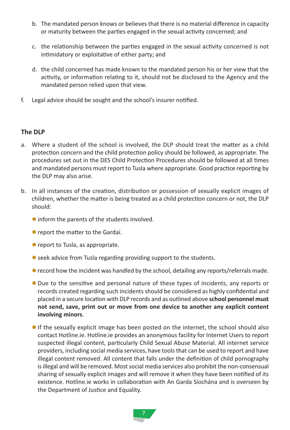- b. The mandated person knows or believes that there is no material difference in capacity or maturity between the parties engaged in the sexual activity concerned; and
- c. the relationship between the parties engaged in the sexual activity concerned is not intimidatory or exploitative of either party; and
- d. the child concerned has made known to the mandated person his or her view that the activity, or information relating to it, should not be disclosed to the Agency and the mandated person relied upon that view.
- f. Legal advice should be sought and the school's insurer notified.

#### **The DLP**

- a. Where a student of the school is involved, the DLP should treat the matter as a child protection concern and the child protection policy should be followed, as appropriate. The procedures set out in the DES Child Protection Procedures should be followed at all times and mandated persons must report to Tusla where appropriate. Good practice reporting by the DLP may also arise.
- b. In all instances of the creation, distribution or possession of sexually explicit images of children, whether the matter is being treated as a child protection concern or not, the DLP should:
	- **•** inform the parents of the students involved.
	- **•** report the matter to the Gardaí.
	- **•** report to Tusla, as appropriate.
	- seek advice from Tusla regarding providing support to the students.
	- **•** record how the incident was handled by the school, detailing any reports/referrals made.
	- l Due to the sensitive and personal nature of these types of incidents, any reports or records created regarding such incidents should be considered as highly confidential and placed in a secure location with DLP records and as outlined above **school personnel must not send, save, print out or move from one device to another any explicit content involving minors**.
	- If the sexually explicit image has been posted on the internet, the school should also contact Hotline.ie. Hotline.ie provides an anonymous facility for Internet Users to report suspected illegal content, particularly Child Sexual Abuse Material. All internet service providers, including social media services, have tools that can be used to report and have illegal content removed. All content that falls under the definition of child pornography is illegal and will be removed. Most social media services also prohibit the non-consensual sharing of sexually explicit images and will remove it when they have been notified of its existence. Hotline.ie works in collaboration with An Garda Síochána and is overseen by the Department of Justice and Equality.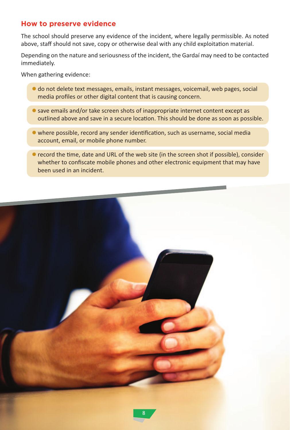#### **How to preserve evidence**

The school should preserve any evidence of the incident, where legally permissible. As noted above, staff should not save, copy or otherwise deal with any child exploitation material.

Depending on the nature and seriousness of the incident, the Gardaí may need to be contacted immediately.

When gathering evidence:

- l do not delete text messages, emails, instant messages, voicemail, web pages, social media profiles or other digital content that is causing concern.
- **C** save emails and/or take screen shots of inappropriate internet content except as outlined above and save in a secure location. This should be done as soon as possible.
- l where possible, record any sender identification, such as username, social media account, email, or mobile phone number.
- **•** record the time, date and URL of the web site (in the screen shot if possible), consider whether to confiscate mobile phones and other electronic equipment that may have been used in an incident.

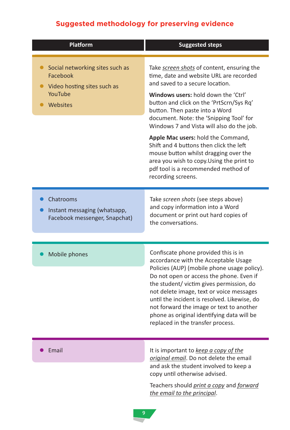### **Suggested methodology for preserving evidence**

| Platform                                                                                          | <b>Suggested steps</b>                                                                                                                                                                                                                                                                                                                                                                                                                                                                                                                                                    |
|---------------------------------------------------------------------------------------------------|---------------------------------------------------------------------------------------------------------------------------------------------------------------------------------------------------------------------------------------------------------------------------------------------------------------------------------------------------------------------------------------------------------------------------------------------------------------------------------------------------------------------------------------------------------------------------|
| Social networking sites such as<br>Facebook<br>Video hosting sites such as<br>YouTube<br>Websites | Take screen shots of content, ensuring the<br>time, date and website URL are recorded<br>and saved to a secure location.<br>Windows users: hold down the 'Ctrl'<br>button and click on the 'PrtScrn/Sys Rq'<br>button. Then paste into a Word<br>document. Note: the 'Snipping Tool' for<br>Windows 7 and Vista will also do the job.<br>Apple Mac users: hold the Command,<br>Shift and 4 buttons then click the left<br>mouse button whilst dragging over the<br>area you wish to copy. Using the print to<br>pdf tool is a recommended method of<br>recording screens. |
| Chatrooms<br>Instant messaging (whatsapp,<br>Facebook messenger, Snapchat)                        | Take screen shots (see steps above)<br>and copy information into a Word<br>document or print out hard copies of<br>the conversations.                                                                                                                                                                                                                                                                                                                                                                                                                                     |
| Mobile phones                                                                                     | Confiscate phone provided this is in<br>accordance with the Acceptable Usage<br>Policies (AUP) (mobile phone usage policy).<br>Do not open or access the phone. Even if<br>the student/victim gives permission, do<br>not delete image, text or voice messages<br>until the incident is resolved. Likewise, do<br>not forward the image or text to another<br>phone as original identifying data will be<br>replaced in the transfer process.                                                                                                                             |
| Email                                                                                             | It is important to keep a copy of the<br>original email. Do not delete the email<br>and ask the student involved to keep a<br>copy until otherwise advised.                                                                                                                                                                                                                                                                                                                                                                                                               |

Teachers should *print a copy* and *forward the email to the principal*.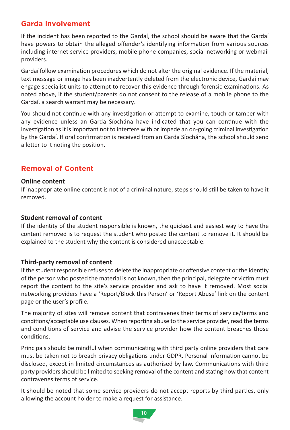#### **Garda Involvement**

If the incident has been reported to the Gardaí, the school should be aware that the Gardaí have powers to obtain the alleged offender's identifying information from various sources including internet service providers, mobile phone companies, social networking or webmail providers.

Gardaí follow examination procedures which do not alter the original evidence. If the material, text message or image has been inadvertently deleted from the electronic device, Gardaí may engage specialist units to attempt to recover this evidence through forensic examinations. As noted above, if the student/parents do not consent to the release of a mobile phone to the Gardaí, a search warrant may be necessary.

You should not continue with any investigation or attempt to examine, touch or tamper with any evidence unless an Garda Síochána have indicated that you can continue with the investigation as it is important not to interfere with or impede an on-going criminal investigation by the Gardaí. If oral confirmation is received from an Garda Síochána, the school should send a letter to it noting the position.

#### **Removal of Content**

#### **Online content**

If inappropriate online content is not of a criminal nature, steps should still be taken to have it removed.

#### **Student removal of content**

If the identity of the student responsible is known, the quickest and easiest way to have the content removed is to request the student who posted the content to remove it. It should be explained to the student why the content is considered unacceptable.

#### **Third-party removal of content**

If the student responsible refuses to delete the inappropriate or offensive content or the identity of the person who posted the material is not known, then the principal, delegate or victim must report the content to the site's service provider and ask to have it removed. Most social networking providers have a 'Report/Block this Person' or 'Report Abuse' link on the content page or the user's profile.

The majority of sites will remove content that contravenes their terms of service/terms and conditions/acceptable use clauses. When reporting abuse to the service provider, read the terms and conditions of service and advise the service provider how the content breaches those conditions.

Principals should be mindful when communicating with third party online providers that care must be taken not to breach privacy obligations under GDPR. Personal information cannot be disclosed, except in limited circumstances as authorised by law. Communications with third party providers should be limited to seeking removal of the content and stating how that content contravenes terms of service.

It should be noted that some service providers do not accept reports by third parties, only allowing the account holder to make a request for assistance.

10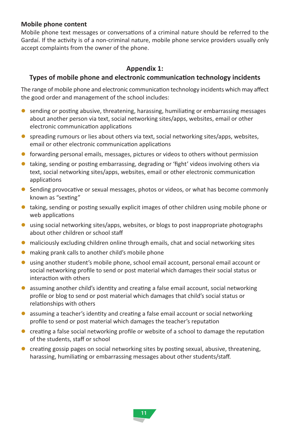#### **Mobile phone content**

Mobile phone text messages or conversations of a criminal nature should be referred to the Gardaí. If the activity is of a non-criminal nature, mobile phone service providers usually only accept complaints from the owner of the phone.

#### **Appendix 1:**

#### **Types of mobile phone and electronic communication technology incidents**

The range of mobile phone and electronic communication technology incidents which may affect the good order and management of the school includes:

- **•** sending or posting abusive, threatening, harassing, humiliating or embarrassing messages about another person via text, social networking sites/apps, websites, email or other electronic communication applications
- **•** spreading rumours or lies about others via text, social networking sites/apps, websites, email or other electronic communication applications
- $\bullet$  forwarding personal emails, messages, pictures or videos to others without permission
- $\bullet$  taking, sending or posting embarrassing, degrading or 'fight' videos involving others via text, social networking sites/apps, websites, email or other electronic communication applications
- **•** Sending provocative or sexual messages, photos or videos, or what has become commonly known as "sexting"
- $\bullet$  taking, sending or posting sexually explicit images of other children using mobile phone or web applications
- **In using social networking sites/apps, websites, or blogs to post inappropriate photographs** about other children or school staff
- $\bullet$  maliciously excluding children online through emails, chat and social networking sites
- $\bullet$  making prank calls to another child's mobile phone
- **lumation** using another student's mobile phone, school email account, personal email account or social networking profile to send or post material which damages their social status or interaction with others
- **a** assuming another child's identity and creating a false email account, social networking profile or blog to send or post material which damages that child's social status or relationships with others
- **a** assuming a teacher's identity and creating a false email account or social networking profile to send or post material which damages the teacher's reputation
- $\bullet$  creating a false social networking profile or website of a school to damage the reputation of the students, staff or school
- $\bullet$  creating gossip pages on social networking sites by posting sexual, abusive, threatening, harassing, humiliating or embarrassing messages about other students/staff.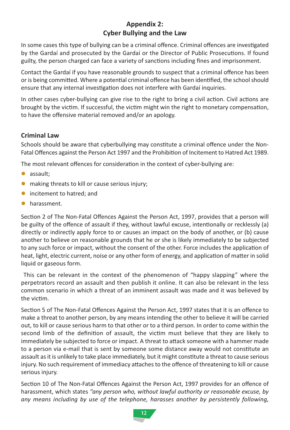#### **Appendix 2: Cyber Bullying and the Law**

In some cases this type of bullying can be a criminal offence. Criminal offences are investigated by the Gardaí and prosecuted by the Gardaí or the Director of Public Prosecutions. If found guilty, the person charged can face a variety of sanctions including fines and imprisonment.

Contact the Gardaí if you have reasonable grounds to suspect that a criminal offence has been or is being committed. Where a potential criminal offence has been identified, the school should ensure that any internal investigation does not interfere with Gardaí inquiries.

In other cases cyber-bullying can give rise to the right to bring a civil action. Civil actions are brought by the victim. If successful, the victim might win the right to monetary compensation, to have the offensive material removed and/or an apology.

#### **Criminal Law**

Schools should be aware that cyberbullying may constitute a criminal offence under the Non-Fatal Offences against the Person Act 1997 and the Prohibition of Incitement to Hatred Act 1989.

The most relevant offences for consideration in the context of cyber-bullying are:

- assault;
- $\bullet$  making threats to kill or cause serious injury;
- $\bullet$  incitement to hatred; and
- harassment.

Section 2 of The Non-Fatal Offences Against the Person Act, 1997, provides that a person will be guilty of the offence of assault if they, without lawful excuse, intentionally or recklessly (a) directly or indirectly apply force to or causes an impact on the body of another, or (b) cause another to believe on reasonable grounds that he or she is likely immediately to be subjected to any such force or impact, without the consent of the other. Force includes the application of heat, light, electric current, noise or any other form of energy, and application of matter in solid liquid or gaseous form.

This can be relevant in the context of the phenomenon of "happy slapping" where the perpetrators record an assault and then publish it online. It can also be relevant in the less common scenario in which a threat of an imminent assault was made and it was believed by the victim.

Section 5 of The Non-Fatal Offences Against the Person Act, 1997 states that it is an offence to make a threat to another person, by any means intending the other to believe it will be carried out, to kill or cause serious harm to that other or to a third person. In order to come within the second limb of the definition of assault, the victim must believe that they are likely to immediately be subjected to force or impact. A threat to attack someone with a hammer made to a person via e-mail that is sent by someone some distance away would not constitute an assault as it is unlikely to take place immediately, but it might constitute a threat to cause serious injury. No such requirement of immediacy attaches to the offence of threatening to kill or cause serious injury.

Section 10 of The Non-Fatal Offences Against the Person Act, 1997 provides for an offence of harassment, which states *"any person who, without lawful authority or reasonable excuse, by any means including by use of the telephone, harasses another by persistently following,*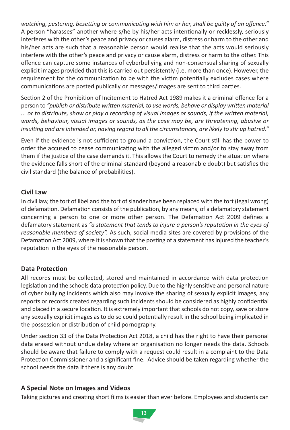*watching, pestering, besetting or communicating with him or her, shall be guilty of an offence."* A person "harasses" another where s/he by his/her acts intentionally or recklessly, seriously interferes with the other's peace and privacy or causes alarm, distress or harm to the other and his/her acts are such that a reasonable person would realise that the acts would seriously interfere with the other's peace and privacy or cause alarm, distress or harm to the other. This offence can capture some instances of cyberbullying and non-consensual sharing of sexually explicit images provided that this is carried out persistently (i.e. more than once). However, the requirement for the communication to be with the victim potentially excludes cases where communications are posted publically or messages/images are sent to third parties.

Section 2 of the Prohibition of Incitement to Hatred Act 1989 makes it a criminal offence for a person to *"publish or distribute written material, to use words, behave or display written material ... or to distribute, show or play a recording of visual images or sounds, if the written material, words, behaviour, visual images or sounds, as the case may be, are threatening, abusive or insulting and are intended or, having regard to all the circumstances, are likely to stir up hatred."* 

Even if the evidence is not sufficient to ground a conviction, the Court still has the power to order the accused to cease communicating with the alleged victim and/or to stay away from them if the justice of the case demands it. This allows the Court to remedy the situation where the evidence falls short of the criminal standard (beyond a reasonable doubt) but satisfies the civil standard (the balance of probabilities).

#### **Civil Law**

In civil law, the tort of libel and the tort of slander have been replaced with the tort (legal wrong) of defamation. Defamation consists of the publication, by any means, of a defamatory statement concerning a person to one or more other person. The Defamation Act 2009 defines a defamatory statement as *"a statement that tends to injure a person's reputation in the eyes of reasonable members of society".* As such, social media sites are covered by provisions of the Defamation Act 2009, where it is shown that the posting of a statement has injured the teacher's reputation in the eyes of the reasonable person.

#### **Data Protection**

All records must be collected, stored and maintained in accordance with data protection legislation and the schools data protection policy. Due to the highly sensitive and personal nature of cyber bullying incidents which also may involve the sharing of sexually explicit images, any reports or records created regarding such incidents should be considered as highly confidential and placed in a secure location. It is extremely important that schools do not copy, save or store any sexually explicit images as to do so could potentially result in the school being implicated in the possession or distribution of child pornography.

Under section 33 of the Data Protection Act 2018, a child has the right to have their personal data erased without undue delay where an organisation no longer needs the data. Schools should be aware that failure to comply with a request could result in a complaint to the Data Protection Commissioner and a significant fine. Advice should be taken regarding whether the school needs the data if there is any doubt.

#### **A Special Note on Images and Videos**

Taking pictures and creating short films is easier than ever before. Employees and students can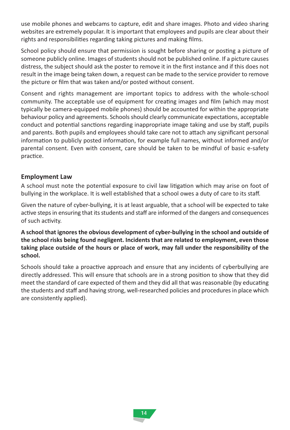use mobile phones and webcams to capture, edit and share images. Photo and video sharing websites are extremely popular. It is important that employees and pupils are clear about their rights and responsibilities regarding taking pictures and making films.

School policy should ensure that permission is sought before sharing or posting a picture of someone publicly online. Images of students should not be published online. If a picture causes distress, the subject should ask the poster to remove it in the first instance and if this does not result in the image being taken down, a request can be made to the service provider to remove the picture or film that was taken and/or posted without consent.

Consent and rights management are important topics to address with the whole-school community. The acceptable use of equipment for creating images and film (which may most typically be camera-equipped mobile phones) should be accounted for within the appropriate behaviour policy and agreements. Schools should clearly communicate expectations, acceptable conduct and potential sanctions regarding inappropriate image taking and use by staff, pupils and parents. Both pupils and employees should take care not to attach any significant personal information to publicly posted information, for example full names, without informed and/or parental consent. Even with consent, care should be taken to be mindful of basic e-safety practice.

#### **Employment Law**

A school must note the potential exposure to civil law litigation which may arise on foot of bullying in the workplace. It is well established that a school owes a duty of care to its staff.

Given the nature of cyber-bullying, it is at least arguable, that a school will be expected to take active steps in ensuring that its students and staff are informed of the dangers and consequences of such activity.

A school that ignores the obvious development of cyber-bullying in the school and outside of **the school risks being found negligent. Incidents that are related to employment, even those taking place outside of the hours or place of work, may fall under the responsibility of the school.**

Schools should take a proactive approach and ensure that any incidents of cyberbullying are directly addressed. This will ensure that schools are in a strong position to show that they did meet the standard of care expected of them and they did all that was reasonable (by educating the students and staff and having strong, well-researched policies and procedures in place which are consistently applied).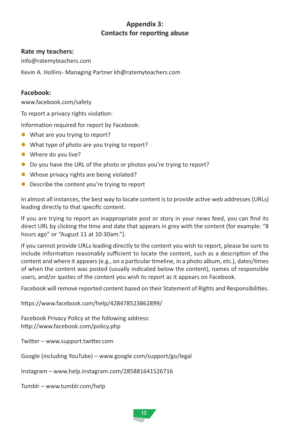#### **Appendix 3: Contacts for reporting abuse**

#### **Rate my teachers:**

info@ratemyteachers.com

Kevin A. Hollins-Managing Partner kh@ratemyteachers.com

#### **Facebook:**

www.facebook.com/safety

To report a privacy rights violation:

Information required for report by Facebook:

- $\bullet$  What are you trying to report?
- What type of photo are you trying to report?
- $\bullet$  Where do you live?
- Do you have the URL of the photo or photos you're trying to report?
- Whose privacy rights are being violated?
- Describe the content you're trying to report

In almost all instances, the best way to locate content is to provide active web addresses (URLs) leading directly to that specific content.

If you are trying to report an inappropriate post or story in your news feed, you can find its direct URL by clicking the time and date that appears in grey with the content (for example: "8 hours ago" or "August 11 at 10:30am.").

If you cannot provide URLs leading directly to the content you wish to report, please be sure to include information reasonably sufficient to locate the content, such as a description of the content and where it appears (e.g., on a particular timeline, in a photo album, etc.), dates/times of when the content was posted (usually indicated below the content), names of responsible users, and/or quotes of the content you wish to report as it appears on Facebook.

Facebook will remove reported content based on their Statement of Rights and Responsibilities.

https://www.facebook.com/help/428478523862899/

Facebook Privacy Policy at the following address: http://www.facebook.com/policy.php

Twitter – www.support.twitter.com

Google (including YouTube) – www.google.com/support/go/legal

Instagram – www.help.instagram.com/285881641526716

Tumblr – www.tumblr.com/help